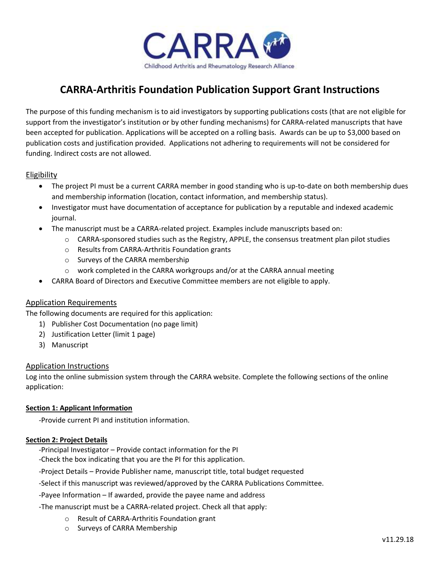

# **CARRA-Arthritis Foundation Publication Support Grant Instructions**

The purpose of this funding mechanism is to aid investigators by supporting publications costs (that are not eligible for support from the investigator's institution or by other funding mechanisms) for CARRA-related manuscripts that have been accepted for publication. Applications will be accepted on a rolling basis. Awards can be up to \$3,000 based on publication costs and justification provided. Applications not adhering to requirements will not be considered for funding. Indirect costs are not allowed.

## Eligibility

- The project PI must be a current CARRA member in good standing who is up-to-date on both membership dues and membership information (location, contact information, and membership status).
- Investigator must have documentation of acceptance for publication by a reputable and indexed academic journal.
- The manuscript must be a CARRA-related project. Examples include manuscripts based on:
	- $\circ$  CARRA-sponsored studies such as the Registry, APPLE, the consensus treatment plan pilot studies
	- o Results from CARRA-Arthritis Foundation grants
	- o Surveys of the CARRA membership
	- $\circ$  work completed in the CARRA workgroups and/or at the CARRA annual meeting
- CARRA Board of Directors and Executive Committee members are not eligible to apply.

## Application Requirements

The following documents are required for this application:

- 1) Publisher Cost Documentation (no page limit)
- 2) Justification Letter (limit 1 page)
- 3) Manuscript

## Application Instructions

Log into the online submission system through the CARRA website. Complete the following sections of the online application:

## **Section 1: Applicant Information**

-Provide current PI and institution information.

## **Section 2: Project Details**

-Principal Investigator – Provide contact information for the PI

-Check the box indicating that you are the PI for this application.

-Project Details – Provide Publisher name, manuscript title, total budget requested

-Select if this manuscript was reviewed/approved by the CARRA Publications Committee.

-Payee Information – If awarded, provide the payee name and address

-The manuscript must be a CARRA-related project. Check all that apply:

- o Result of CARRA-Arthritis Foundation grant
- o Surveys of CARRA Membership